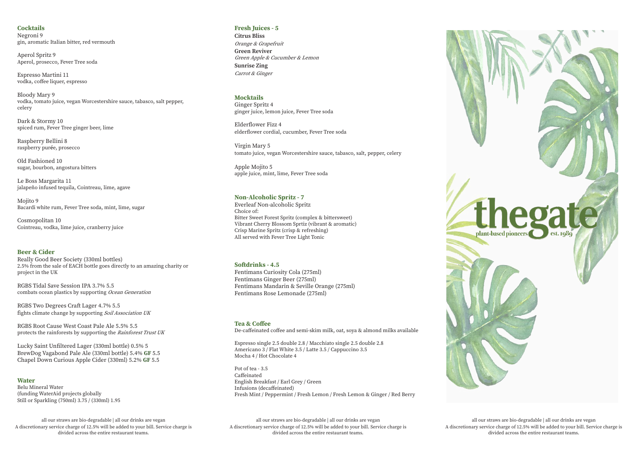### **Tea & Coffee** De-caffeinated coffee and semi-skim milk, oat, soya & almond milks available

Espresso single 2.5 double 2.8 / Macchiato single 2.5 double 2.8 Americano 3 / Flat White 3.5 / Latte 3.5 / Cappuccino 3.5 Mocha 4 / Hot Chocolate 4

Pot of tea - 3.5 Caffeinated English Breakfast / Earl Grey / Green Infusions (decaffeinated) Fresh Mint / Peppermint / Fresh Lemon / Fresh Lemon & Ginger / Red Berry

# **Fresh Juices - 5**

**Citrus Bliss** Orange & Grapefruit **Green Reviver** Green Apple & Cucumber & Lemon **Sunrise Zing** Carrot & Ginger

## **Water**

Belu Mineral Water (funding WaterAid projects globally Still or Sparkling (750ml) 3.75 / (330ml) 1.95

# **Mocktails**

Ginger Spritz 4 ginger juice, lemon juice, Fever Tree soda

Elderflower Fizz 4 elderflower cordial, cucumber, Fever Tree soda

Virgin Mary 5 tomato juice, vegan Worcestershire sauce, tabasco, salt, pepper, celery

Apple Mojito 5 apple juice, mint, lime, Fever Tree soda

# **Non-Alcoholic Spritz - 7**

Everleaf Non-alcoholic Spritz Choice of: Bitter Sweet Forest Spritz (complex & bittersweet) Vibrant Cherry Blossom Sprtiz (vibrant & aromatic) Crisp Marine Spritz (crisp & refreshing) All served with Fever Tree Light Tonic

# **Softdrinks - 4.5**

Fentimans Curiosity Cola (275ml) Fentimans Ginger Beer (275ml) Fentimans Mandarin & Seville Orange (275ml) Fentimans Rose Lemonade (275ml)

### **Cocktails** Negroni 9 gin, aromatic Italian bitter, red vermouth

all our straws are bio-degradable | all our drinks are vegan A discretionary service charge of 12.5% will be added to your bill. Service charge is divided across the entire restaurant teams.

Aperol Spritz 9 Aperol, prosecco, Fever Tree soda

> all our straws are bio-degradable | all our drinks are vegan A discretionary service charge of 12.5% will be added to your bill. Service charge is divided across the entire restaurant teams.



Espresso Martini 11 vodka, coffee liquer, espresso

Bloody Mary 9 vodka, tomato juice, vegan Worcestershire sauce, tabasco, salt pepper, celery

Dark & Stormy 10 spiced rum, Fever Tree ginger beer, lime

Raspberry Bellini 8 raspberry pur**é**e, prosecco

Old Fashioned 10 sugar, bourbon, angostura bitters

Le Boss Margarita 11 jalapeño infused tequila, Cointreau, lime, agave

Mojito 9 Bacardi white rum, Fever Tree soda, mint, lime, sugar

Cosmopolitan 10 Cointreau, vodka, lime juice, cranberry juice

# **Beer & Cider**

Really Good Beer Society (330ml bottles) 2.5% from the sale of EACH bottle goes directly to an amazing charity or project in the UK

RGBS Tidal Save Session IPA 3.7% 5.5 combats ocean plastics by supporting Ocean Generation

RGBS Two Degrees Craft Lager 4.7% 5.5 fights climate change by supporting Soil Association UK

RGBS Root Cause West Coast Pale Ale 5.5% 5.5 protects the rainforests by supporting the Rainforest Trust UK

Lucky Saint Unfiltered Lager (330ml bottle) 0.5% 5 BrewDog Vagabond Pale Ale (330ml bottle) 5.4% **GF** 5.5 Chapel Down Curious Apple Cider (330ml) 5.2% **GF** 5.5

> all our straws are bio-degradable | all our drinks are vegan A discretionary service charge of 12.5% will be added to your bill. Service charge is divided across the entire restaurant teams.